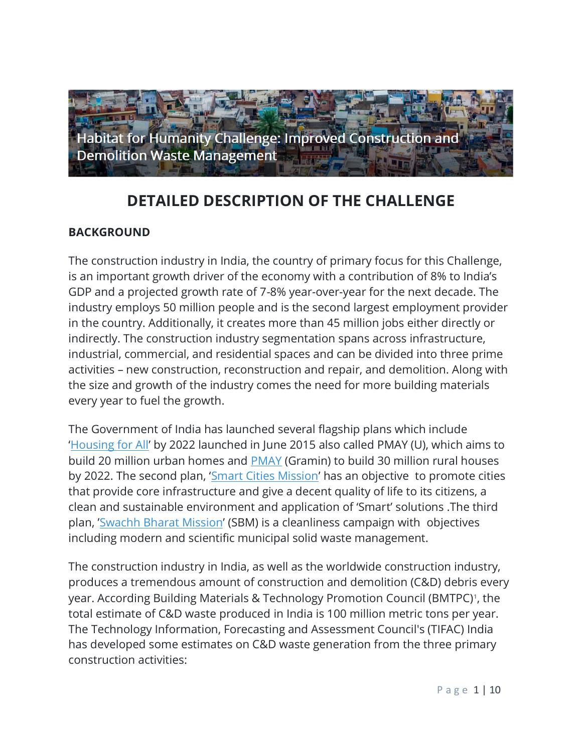

# **DETAILED DESCRIPTION OF THE CHALLENGE**

### **BACKGROUND**

The construction industry in India, the country of primary focus for this Challenge, is an important growth driver of the economy with a contribution of 8% to India's GDP and a projected growth rate of 7-8% year-over-year for the next decade. The industry employs 50 million people and is the second largest employment provider in the country. Additionally, it creates more than 45 million jobs either directly or indirectly. The construction industry segmentation spans across infrastructure, industrial, commercial, and residential spaces and can be divided into three prime activities – new construction, reconstruction and repair, and demolition. Along with the size and growth of the industry comes the need for more building materials every year to fuel the growth.

The Government of India has launched several flagship plans which include '[Housing for All](https://www.pmindia.gov.in/en/news_updates/housing-for-all-by-2022-mission-national-mission-for-urban-housing/)' by 2022 launched in June 2015 also called PMAY (U), which aims to build 20 million urban homes and [PMAY](https://rdd.maharashtra.gov.in/en/pradhan-mantri-awas-yojana-rural) (Gramin) to build 30 million rural houses by 2022. The second plan, '[Smart Cities Mission](http://smartcities.gov.in/content/)' has an objective to promote cities that provide core infrastructure and give a decent quality of life to its citizens, a clean and sustainable environment and application of 'Smart' solutions .The third plan, '[Swachh Bharat Mission](https://swachhbharatmission.gov.in/)' (SBM) is a cleanliness campaign with objectives including modern and scientific municipal solid waste management.

The construction industry in India, as well as the worldwide construction industry, produces a tremendous amount of construction and demolition (C&D) debris every year. According Building Materials & Technology Promotion Council (BMTPC)<sup>1</sup> , the total estimate of C&D waste produced in India is 100 million metric tons per year. The Technology Information, Forecasting and Assessment Council's (TIFAC) India has developed some estimates on C&D waste generation from the three primary construction activities: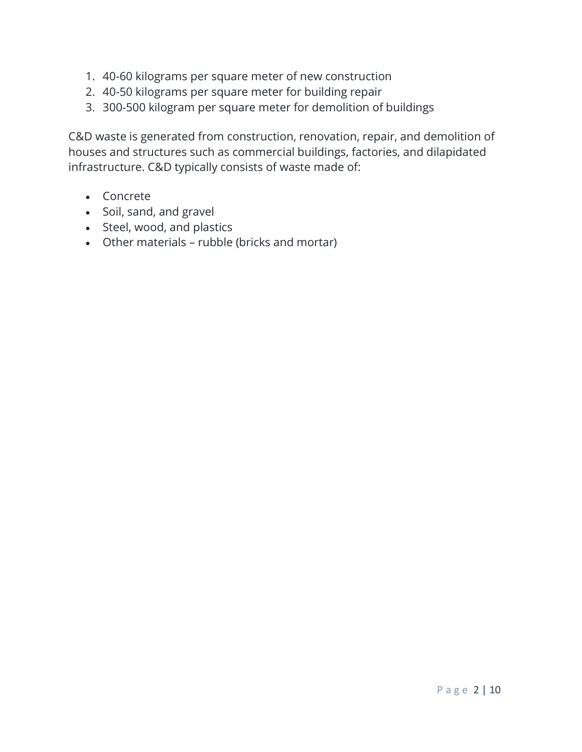- 1. 40-60 kilograms per square meter of new construction
- 2. 40-50 kilograms per square meter for building repair
- 3. 300-500 kilogram per square meter for demolition of buildings

C&D waste is generated from construction, renovation, repair, and demolition of houses and structures such as commercial buildings, factories, and dilapidated infrastructure. C&D typically consists of waste made of:

- Concrete
- Soil, sand, and gravel
- Steel, wood, and plastics
- Other materials rubble (bricks and mortar)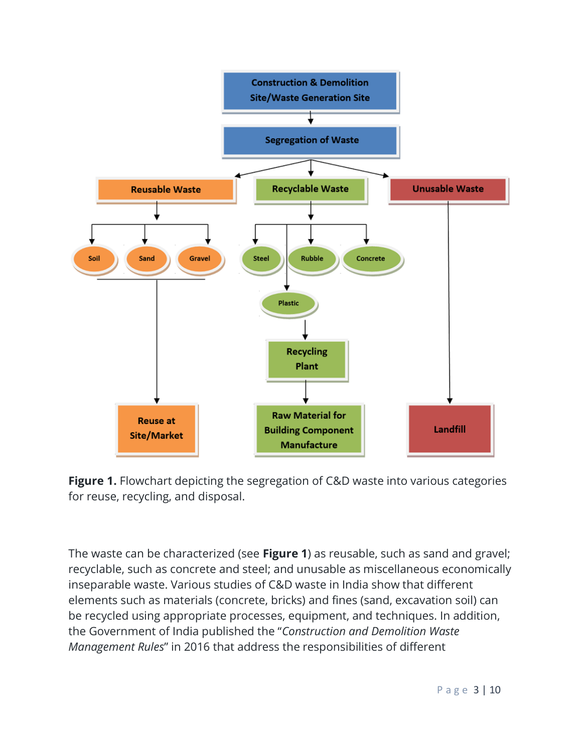

**Figure 1.** Flowchart depicting the segregation of C&D waste into various categories for reuse, recycling, and disposal.

The waste can be characterized (see **Figure 1**) as reusable, such as sand and gravel; recyclable, such as concrete and steel; and unusable as miscellaneous economically inseparable waste. Various studies of C&D waste in India show that different elements such as materials (concrete, bricks) and fines (sand, excavation soil) can be recycled using appropriate processes, equipment, and techniques. In addition, the Government of India published the "*Construction and Demolition Waste Management Rules*" in 2016 that address the responsibilities of different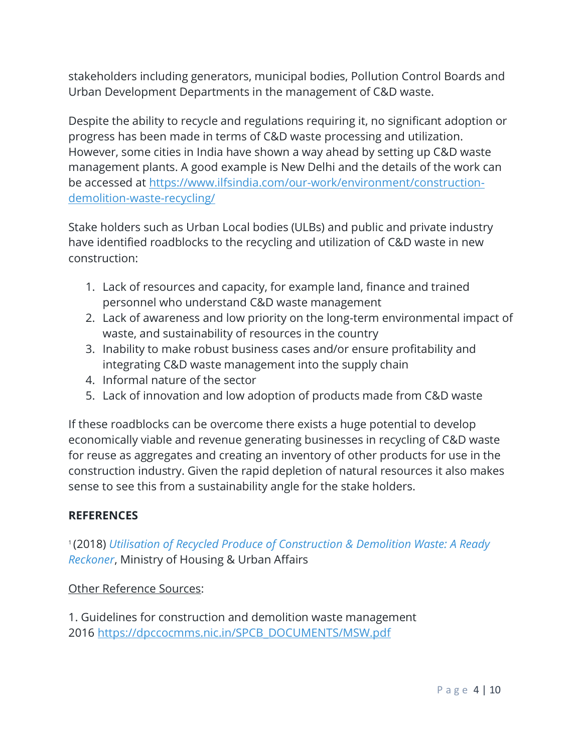stakeholders including generators, municipal bodies, Pollution Control Boards and Urban Development Departments in the management of C&D waste.

Despite the ability to recycle and regulations requiring it, no significant adoption or progress has been made in terms of C&D waste processing and utilization. However, some cities in India have shown a way ahead by setting up C&D waste management plants. A good example is New Delhi and the details of the work can be accessed at [https://www.ilfsindia.com/our-work/environment/construction](https://www.ilfsindia.com/our-work/environment/construction-demolition-waste-recycling/)[demolition-waste-recycling/](https://www.ilfsindia.com/our-work/environment/construction-demolition-waste-recycling/)

Stake holders such as Urban Local bodies (ULBs) and public and private industry have identified roadblocks to the recycling and utilization of C&D waste in new construction:

- 1. Lack of resources and capacity, for example land, finance and trained personnel who understand C&D waste management
- 2. Lack of awareness and low priority on the long-term environmental impact of waste, and sustainability of resources in the country
- 3. Inability to make robust business cases and/or ensure profitability and integrating C&D waste management into the supply chain
- 4. Informal nature of the sector
- 5. Lack of innovation and low adoption of products made from C&D waste

If these roadblocks can be overcome there exists a huge potential to develop economically viable and revenue generating businesses in recycling of C&D waste for reuse as aggregates and creating an inventory of other products for use in the construction industry. Given the rapid depletion of natural resources it also makes sense to see this from a sustainability angle for the stake holders.

### **REFERENCES**

1 (2018) *[Utilisation of Recycled Produce of Construction & Demolition Waste: A Ready](http://164.100.228.143:8080/sbm/content/writereaddata/C&D%20Waste_Ready_Reckoner_BMTPC_SBM.pdf)  [Reckoner](http://164.100.228.143:8080/sbm/content/writereaddata/C&D%20Waste_Ready_Reckoner_BMTPC_SBM.pdf)*, Ministry of Housing & Urban Affairs

### Other Reference Sources:

1. Guidelines for construction and demolition waste management 2016 [https://dpccocmms.nic.in/SPCB\\_DOCUMENTS/MSW.pdf](https://dpccocmms.nic.in/SPCB_DOCUMENTS/MSW.pdf)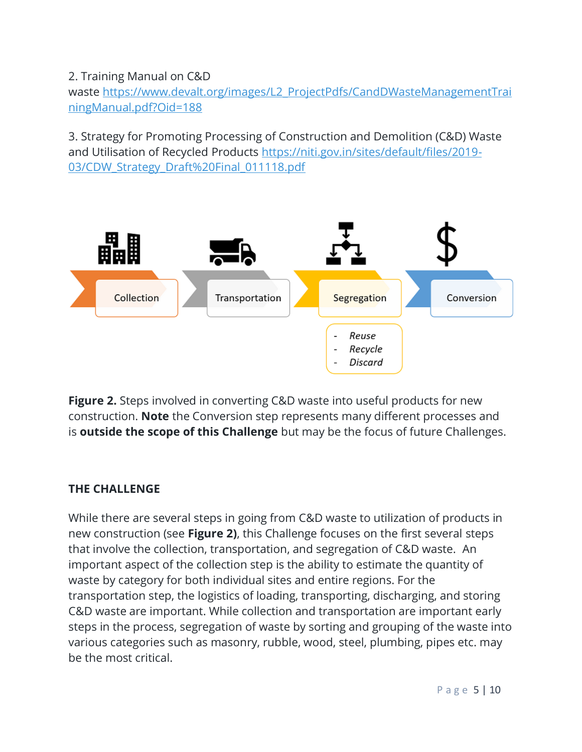2. Training Manual on C&D waste [https://www.devalt.org/images/L2\\_ProjectPdfs/CandDWasteManagementTrai](https://www.devalt.org/images/L2_ProjectPdfs/CandDWasteManagementTrainingManual.pdf?Oid=188) [ningManual.pdf?Oid=188](https://www.devalt.org/images/L2_ProjectPdfs/CandDWasteManagementTrainingManual.pdf?Oid=188)

3. Strategy for Promoting Processing of Construction and Demolition (C&D) Waste and Utilisation of Recycled Products [https://niti.gov.in/sites/default/files/2019-](https://niti.gov.in/sites/default/files/2019-03/CDW_Strategy_Draft%20Final_011118.pdf) 03/CDW Strategy Draft%20Final 011118.pdf



**Figure 2.** Steps involved in converting C&D waste into useful products for new construction. **Note** the Conversion step represents many different processes and is **outside the scope of this Challenge** but may be the focus of future Challenges.

### **THE CHALLENGE**

While there are several steps in going from C&D waste to utilization of products in new construction (see **Figure 2)**, this Challenge focuses on the first several steps that involve the collection, transportation, and segregation of C&D waste. An important aspect of the collection step is the ability to estimate the quantity of waste by category for both individual sites and entire regions. For the transportation step, the logistics of loading, transporting, discharging, and storing C&D waste are important. While collection and transportation are important early steps in the process, segregation of waste by sorting and grouping of the waste into various categories such as masonry, rubble, wood, steel, plumbing, pipes etc. may be the most critical.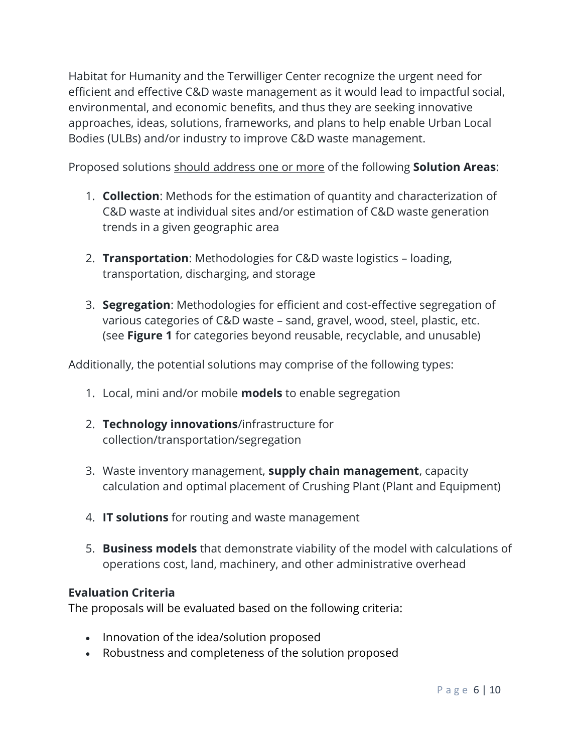Habitat for Humanity and the Terwilliger Center recognize the urgent need for efficient and effective C&D waste management as it would lead to impactful social, environmental, and economic benefits, and thus they are seeking innovative approaches, ideas, solutions, frameworks, and plans to help enable Urban Local Bodies (ULBs) and/or industry to improve C&D waste management.

Proposed solutions should address one or more of the following **Solution Areas**:

- 1. **Collection**: Methods for the estimation of quantity and characterization of C&D waste at individual sites and/or estimation of C&D waste generation trends in a given geographic area
- 2. **Transportation**: Methodologies for C&D waste logistics loading, transportation, discharging, and storage
- 3. **Segregation**: Methodologies for efficient and cost-effective segregation of various categories of C&D waste – sand, gravel, wood, steel, plastic, etc. (see **Figure 1** for categories beyond reusable, recyclable, and unusable)

Additionally, the potential solutions may comprise of the following types:

- 1. Local, mini and/or mobile **models** to enable segregation
- 2. **Technology innovations**/infrastructure for collection/transportation/segregation
- 3. Waste inventory management, **supply chain management**, capacity calculation and optimal placement of Crushing Plant (Plant and Equipment)
- 4. **IT solutions** for routing and waste management
- 5. **Business models** that demonstrate viability of the model with calculations of operations cost, land, machinery, and other administrative overhead

### **Evaluation Criteria**

The proposals will be evaluated based on the following criteria:

- Innovation of the idea/solution proposed
- Robustness and completeness of the solution proposed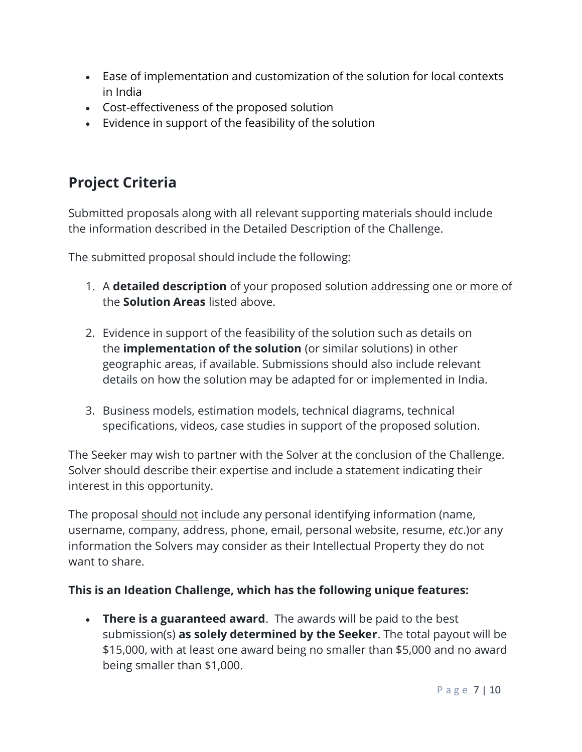- Ease of implementation and customization of the solution for local contexts in India
- Cost-effectiveness of the proposed solution
- Evidence in support of the feasibility of the solution

# **Project Criteria**

Submitted proposals along with all relevant supporting materials should include the information described in the Detailed Description of the Challenge.

The submitted proposal should include the following:

- 1. A **detailed description** of your proposed solution addressing one or more of the **Solution Areas** listed above.
- 2. Evidence in support of the feasibility of the solution such as details on the **implementation of the solution** (or similar solutions) in other geographic areas, if available. Submissions should also include relevant details on how the solution may be adapted for or implemented in India.
- 3. Business models, estimation models, technical diagrams, technical specifications, videos, case studies in support of the proposed solution.

The Seeker may wish to partner with the Solver at the conclusion of the Challenge. Solver should describe their expertise and include a statement indicating their interest in this opportunity.

The proposal should not include any personal identifying information (name, username, company, address, phone, email, personal website, resume, *etc*.)or any information the Solvers may consider as their Intellectual Property they do not want to share.

## **This is an Ideation Challenge, which has the following unique features:**

• **There is a guaranteed award**. The awards will be paid to the best submission(s) **as solely determined by the Seeker**. The total payout will be \$15,000, with at least one award being no smaller than \$5,000 and no award being smaller than \$1,000.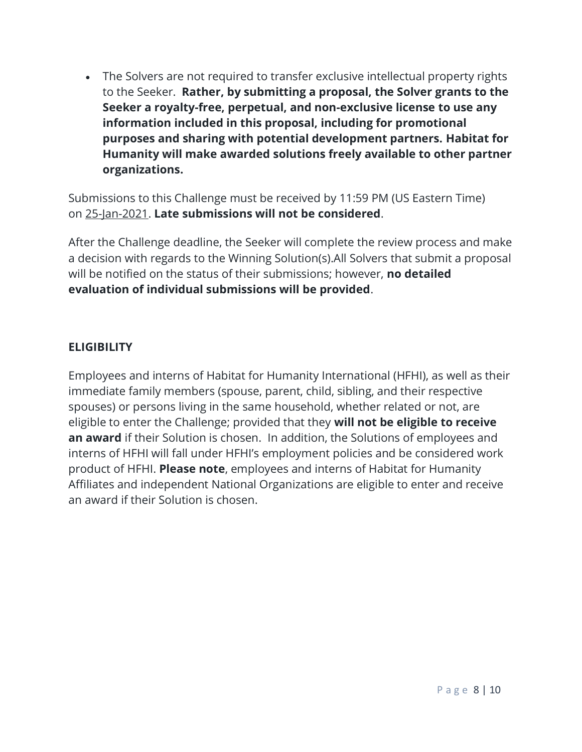• The Solvers are not required to transfer exclusive intellectual property rights to the Seeker. **Rather, by submitting a proposal, the Solver grants to the Seeker a royalty-free, perpetual, and non-exclusive license to use any information included in this proposal, including for promotional purposes and sharing with potential development partners. Habitat for Humanity will make awarded solutions freely available to other partner organizations.**

Submissions to this Challenge must be received by 11:59 PM (US Eastern Time) on 25-Jan-2021. **Late submissions will not be considered**.

After the Challenge deadline, the Seeker will complete the review process and make a decision with regards to the Winning Solution(s).All Solvers that submit a proposal will be notified on the status of their submissions; however, **no detailed evaluation of individual submissions will be provided**.

### **ELIGIBILITY**

Employees and interns of Habitat for Humanity International (HFHI), as well as their immediate family members (spouse, parent, child, sibling, and their respective spouses) or persons living in the same household, whether related or not, are eligible to enter the Challenge; provided that they **will not be eligible to receive an award** if their Solution is chosen. In addition, the Solutions of employees and interns of HFHI will fall under HFHI's employment policies and be considered work product of HFHI. **Please note**, employees and interns of Habitat for Humanity Affiliates and independent National Organizations are eligible to enter and receive an award if their Solution is chosen.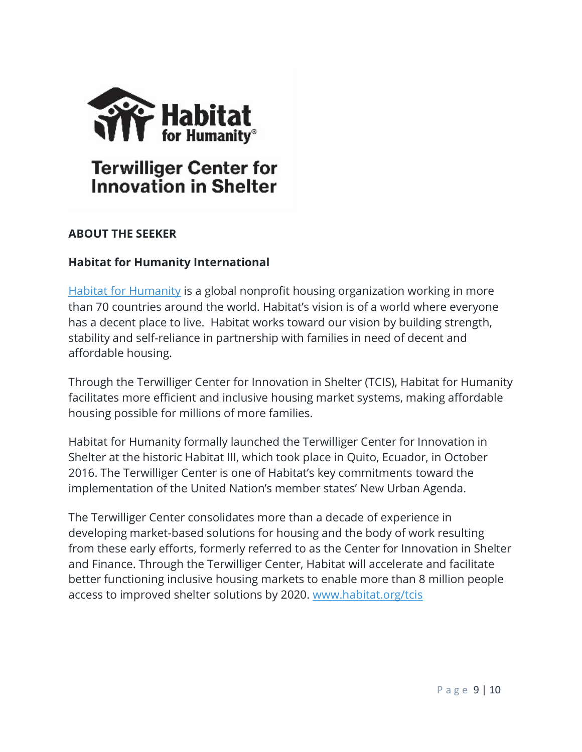

### **ABOUT THE SEEKER**

### **Habitat for Humanity International**

[Habitat for Humanity](http://www.habitat.org/) is a global nonprofit housing organization working in more than 70 countries around the world. Habitat's vision is of a world where everyone has a decent place to live. Habitat works toward our vision by building strength, stability and self-reliance in partnership with families in need of decent and affordable housing.

Through the Terwilliger Center for Innovation in Shelter (TCIS), Habitat for Humanity facilitates more efficient and inclusive housing market systems, making affordable housing possible for millions of more families.

Habitat for Humanity formally launched the Terwilliger Center for Innovation in Shelter at the historic Habitat III, which took place in Quito, Ecuador, in October 2016. The Terwilliger Center is one of Habitat's key commitments toward the implementation of the United Nation's member states' New Urban Agenda.

The Terwilliger Center consolidates more than a decade of experience in developing market-based solutions for housing and the body of work resulting from these early efforts, formerly referred to as the Center for Innovation in Shelter and Finance. Through the Terwilliger Center, Habitat will accelerate and facilitate better functioning inclusive housing markets to enable more than 8 million people access to improved shelter solutions by 2020. [www.habitat.org/tcis](https://wazokuhq-my.sharepoint.com/personal/kelly_higgins_wazoku_com/Documents/InnoCentive/Current%20Work/Habitat%20for%20Humanity/Philippines/www.habitat.org/tcis)